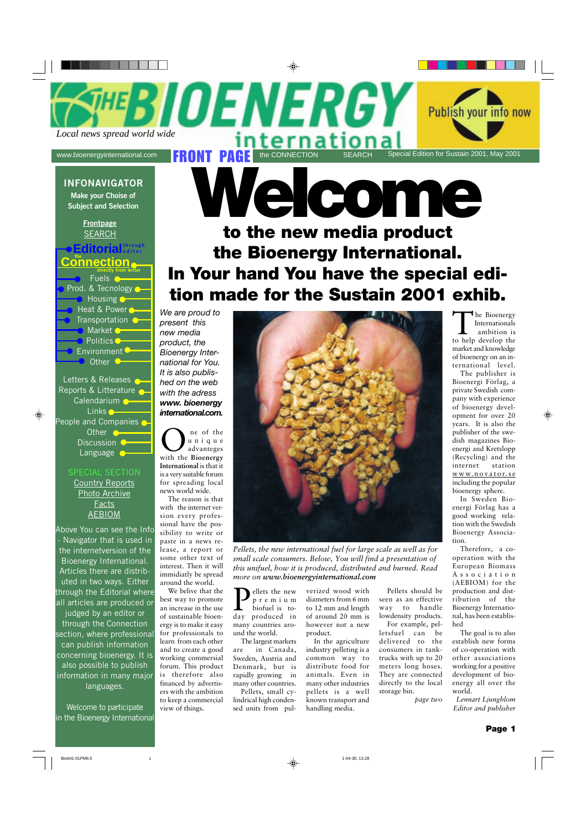FRONT PAGE TO A CONNECTION Special Edition for Sustain 2001, May 2001<br>www.bioenergyinternational.com **the CONNECTION SEARCH** Special Edition for Sustain 2001, May 2001 *<u>ATHERICE</u>* 

#### **INFONAVIGATOR**

**Make your Choise of Subject and Selection**

> **Frontpage** SEARCH

#### $\boldsymbol{\mathsf{E}}$ ditorial $\boldsymbol{\mathsf{E}}$ **the**

**Connection** Fuels ( Prod. & Tecnology Housing  $\bullet$ Heat & Power Transportation **O** Market **O** Politics<sup>O</sup> Environment<sup>C</sup> Other  $\bullet$ 

Letters & Releases Reports & Litterature Calendarium<sup>O</sup> Links<sup>o</sup> People and Companies Other<sup>o</sup> Discussion O Language **O** 

#### SPECIAL SECTION

Country Reports Photo Archive Facts AEBIOM

Above You can see the Info - Navigator that is used in the internetversion of the Bioenergy International. Articles there are distributed in two ways. Either through the Editorial where all articles are produced or

judged by an editor or through the Connection section, where professional can publish information concerning bioenergy. It is also possible to publish information in many major languages.

Welcome to participate in the Bioenergy International

# **Welcome**

## **to the new media product the Bioenergy International. In Your hand You have the special edition made for the Sustain 2001 exhib.**

*We are proud to present this new media product, the Bioenergy International for You. It is also published on the web with the adress www. bioenergy international.com.*

One of the with the **Bioenergy** unique advanteges **International** is that it is a very suitable forum for spreading local news world wide.

The reason is that with the internet version every professional have the possibility to write or paste in a news release, a report or some other text of interest. Then it will immidiatly be spread around the world.

We belive that the best way to promote an increase in the use of sustainable bioenergy is to make it easy for professionals to learn from each other and to create a good working commersial forum. This product is therefore also financed by advertisers with the ambition to keep a commercial view of things.



*Pellets, the new international fuel for large scale as well as for small scale consumers. Below, You will find a presentation of this unifuel, how it is produced, distributed and burned. Read more on www.bioenergyinternational.com*

ellets the new premium biofuel is today produced in many countries around the world.

The largest markets are in Canada, Sweden, Austria and Denmark, but is rapidly growing in many other countries. Pellets, small cy-

lindrical high condensed units from pul-

verized wood with diameters from 6 mm to 12 mm and length of around 20 mm is however not a new product.

In the agriculture industry pelleting is a common way to distribute food for animals. Even in many other industries pellets is a well known transport and handling media.

Pellets should be seen as an effective way to handle lowdensity products.

For example, pelletsfuel can be delivered to the consumers in tanktrucks with up to 20 meters long hoses. They are connected directly to the local storage bin.

*page two*

The Bioenergy<br>
Internationals<br>
ambition is<br>
to help develop the Internationals ambition is market and knowledge of bioenergy on an international level.

Publish your info now

The publisher is Bioenergi Förlag, a private Swedish company with experience of bioenergy development for over 20 years. It is also the publisher of the swedish magazines Bioenergi and Kretslopp (Recycling) and the internet station www.novator.se including the popular bioenergy sphere.

In Sweden Bioenergi Förlag has a good working relation with the Swedish Bioenergy Association.

Therefore, a cooperation with the European Biomass Association (AEBIOM) for the production and distribution of the Bioenergy International, has been established

The goal is to also establish new forms of co-operation with other associations working for a positive development of bioenergy all over the world.

*Lennart Ljungblom Editor and publisher*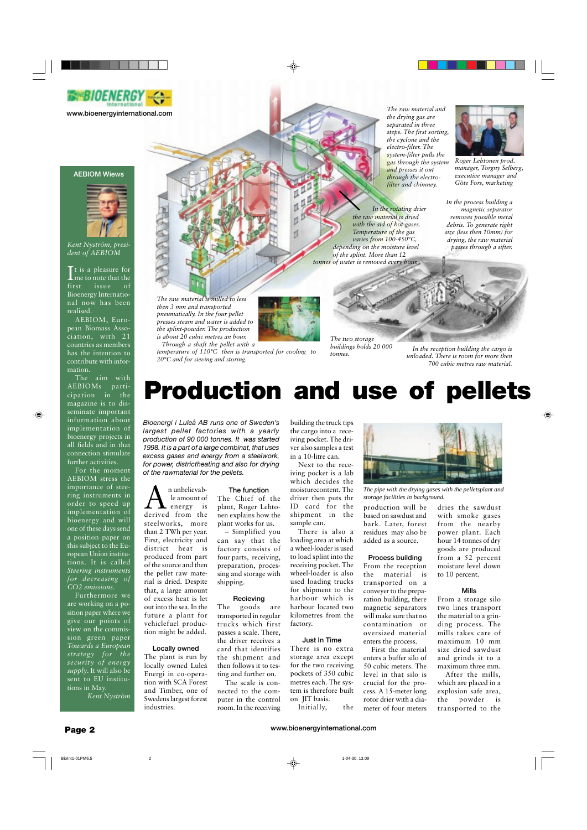

**www.bioenergyinternational.com**

#### **AEBIOM Wiews**



*Kent Nyström, president of AEBIOM*

 $\prod_{\text{m}}$  t is a pleasure for me to note that the first issue of Bioenergy International now has been realised.

AEBIOM, European Biomass Association, with 21 countries as members has the intention to contribute with information.

The aim with AEBIOMs participation in the magazine is to disseminate important information about implementation of bioenergy projects in all fields and in that connection stimulate further activities.

For the moment AEBIOM stress the importance of steering instruments in order to speed up implementation of bioenergy and will one of these days send a position paper on this subject to the European Union institutions. It is called *Steering instruments for decreasing of CO2 emissions*.

Furthermore we are working on a position paper where we give our points of view on the commission green paper *Towards a European strategy for the security of energy supply*. It will also be sent to EU institutions in May.

*Kent Nyström*

*The raw material and the drying gas are separated in three steps. The first sorting, the cyclone and the electro-filter. The system-filter pulls the gas through the system and presses it out through the electrofilter and chimney.*

*In the rotating drier the raw material is dried with the aid of hot gases. Temperature of the gas varies from 100-450°C, depending on the moisture level of the splint. More than 12 tonnes of water is removed every hour.*



*Roger Lehtonen prod. manager, Torgny Selberg, executive manager and Göte Fors, marketing*

*In the process building a magnetic separator removes possible metal debris. To generate right size (less then 10mm) for drying, the raw material passes through a sifter.*

*The raw material is milled to less then 3 mm and transported pneumatically. In the four pellet presses steam and water is added to the splint-powder. The production is about 20 cubic metres an hour.*

 *Through a shaft the pellet with a*

*temperature of 110°C then is transported for cooling to 20°C and for sieving and storing.*

*The two storage buildings holds 20 000 tonnes.*

*In the reception building the cargo is unloaded. There is room for more then 700 cubic metres raw material.*

# **Production and use of pellets**

*Bioenergi i Luleå AB runs one of Sweden's largest pellet factories with a yearly production of 90 000 tonnes. It was started 1998. It is a part of a large combinat, that uses excess gases and energy from a steelwork, for power, districtheating and also for drying of the rawmaterial for the pellets.*

 $\bigwedge_{\text{energy}}^{\text{n unbelieved}}$ <br>derived from the le amount of energy is steelworks, more than 2 TWh per year. First, electricity and district heat is produced from part of the source and then the pellet raw material is dried. Despite that, a large amount of excess heat is let out into the sea. In the future a plant for vehiclefuel production might be added.

#### **Locally owned**

The plant is run by locally owned Luleå Energi in co-operation with SCA Forest and Timber, one of Swedens largest forest industries.

#### **The function**

The Chief of the plant, Roger Lehtonen explains how the plant works for us.

– Simplified you can say that the factory consists of four parts, receiving, preparation, processing and storage with shipping.

#### **Recieving**

The goods are transported in regular trucks which first passes a scale. There, the driver receives a card that identifies the shipment and then follows it to testing and further on.

The scale is connected to the computer in the control room. In the receiving

building the truck tips the cargo into a receiving pocket. The driver also samples a test in a 10-litre can.

Next to the receiving pocket is a lab which decides the moisturecontent. The driver then puts thr ID card for the shipment in the sample can.

There is also a loading area at which a wheel-loader is used to load splint into the receiving pocket. The wheel-loader is also used loading trucks for shipment to the harbour which is harbour located two kilometres from the factory.

#### **Just In Time**

There is no extra storage area except for the two receiving pockets of 350 cubic metres each. The system is therefore built on JIT basis.

Initially, the



*The pipe with the drying gases with the pelletsplant and storage facilities in background.*

production will be based on sawdust and bark. Later, forest residues may also be added as a source.

#### **Process building**

From the reception the material is transported on a conveyer to the preparation building, there magnetic separators will make sure that no contamination or oversized material enters the process.

First the material enters a buffer silo of 50 cubic meters. The level in that silo is crucial for the process. A 15-meter long rotor drier with a diameter of four meters dries the sawdust with smoke gases from the nearby power plant. Each hour 14 tonnes of dry goods are produced from a 52 percent moisture level down to 10 percent.

#### **Mills**

From a storage silo two lines transport the material to a grinding process. The mills takes care of maximum 10 mm size dried sawdust and grinds it to a maximum three mm.

After the mills, which are placed in a explosion safe area, the powder is transported to the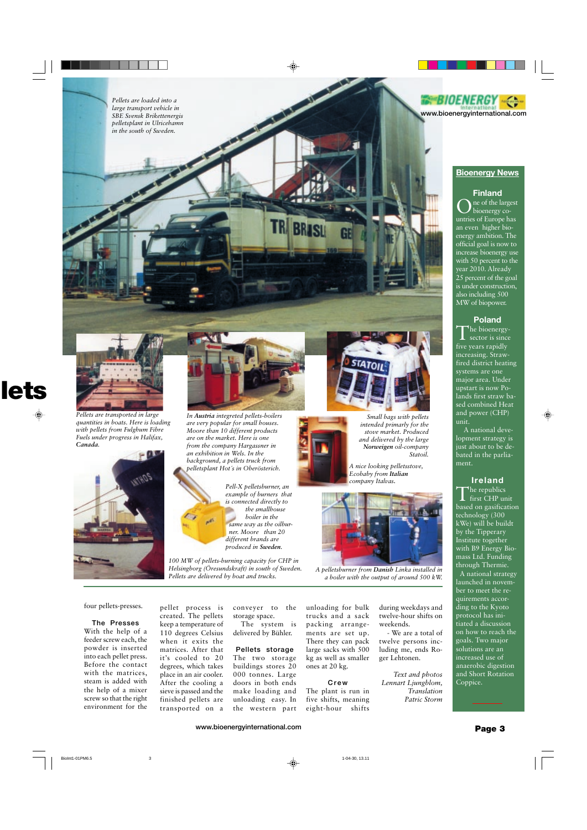



#### **Bioenergy News**

#### **Finland**

ne of the largest bioenergy countries of Europe has an even higher bioenergy ambition. The official goal is now to increase bioenergy use with 50 percent to the year 2010. Already 25 percent of the goal is under construction, also including 500 MW of biopower.

#### **Poland**

 $\blacksquare$  he bioenergysector is since five years rapidly increasing. Strawfired district heating systems are one major area. Under upstart is now Polands first straw based combined Heat and power (CHP) unit.

 A national development strategy is just about to be debated in the parliament.

#### **Ireland**

The republics first CHP unit based on gasification technology (300 kWe) will be buildt by the Tipperary Institute together with B9 Energy Biomass Ltd. Funding through Thermie. A national strategy launched in november to meet the requirements according to the Kyoto protocol has initiated a discussion on how to reach the goals. Two major solutions are an increased use of anaerobic digestion and Short Rotation Coppice.



*Pellets are transported in large quantities in boats. Here is loading with pellets from Fulghum Fibre Fuels under progress in Halifax, Canada.*





**TR BRISL** 

*In Austria integreted pellets-boilers are very popular for small houses. Moore than 10 different products are on the market. Here is one from the company Hargassner in an exhibition in Wels. In the background, a pellets truck from pelletsplant Hot´s in Oberösterich.*

*Pell-X pelletsburner, an example of burners that is connected directly to the smallhouse boiler in the same way as the oilbur ner. Moore than 20 different brands are produced in Sweden.*

*100 MW of pellets-burning capacity for CHP in Helsingborg (Öresundskraft) in south of Sweden. Pellets are delivered by boat and trucks.*



*Small bags with pellets intended primarly for the stove market. Produced and delivered by the large Norweigen oil-company Statoil.*

*A nice looking pelletsstove, Ecobaby from Italian company Italvas.*



*A pelletsburner from Danish Linka installed in a boiler with the output of around 500 kW.*

#### four pellets-presses.

#### **The Presses**

With the help of a feeder screw each, the powder is inserted into each pellet press. Before the contact with the matrices, steam is added with the help of a mixer screw so that the right environment for the

pellet process is created. The pellets keep a temperature of 110 degrees Celsius when it exits the matrices. After that it's cooled to 20 degrees, which takes place in an air cooler. After the cooling a sieve is passed and the finished pellets are transported on a

conveyer to the storage space.

The system is delivered by Bühler.

#### **Pellets storage** The two storage buildings stores 20 000 tonnes. Large doors in both ends make loading and unloading easy. In the western part

unloading for bulk trucks and a sack packing arrangements are set up. There they can pack large sacks with 500 kg as well as smaller ones at 20 kg.

#### **Crew**

The plant is run in five shifts, meaning eight-hour shifts

during weekdays and twelve-hour shifts on weekends.

- We are a total of twelve persons including me, ends Roger Lehtonen.

*Text and photos Lennart Ljungblom, Translation Patric Storm*